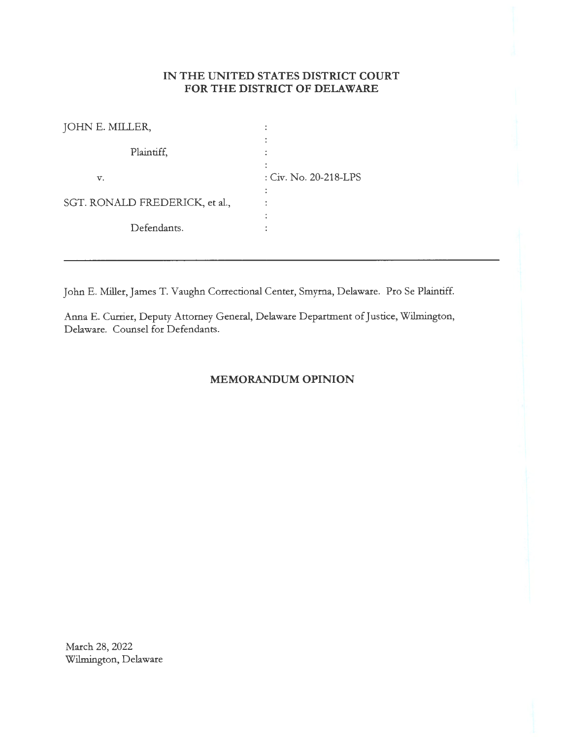# **IN THE UNITED STATES DISTRICT COURT FOR THE DISTRICT OF DELAWARE**

| JOHN E. MILLER,                |                       |
|--------------------------------|-----------------------|
| Plaintiff,                     |                       |
| v.                             | : Civ. No. 20-218-LPS |
| SGT. RONALD FREDERICK, et al., | ٠                     |
| Defendants.                    |                       |

John E. Miller, James T. Vaughn Correctional Center, Smyrna, Delaware. Pro Se Plaintiff.

Anna E. Currier, Deputy Attorney General, Delaware Department of Justice, Wilmington, Delaware. Counsel for Defendants.

## **MEMORANDUM OPINION**

March 28, 2022 Wilmington, Delaware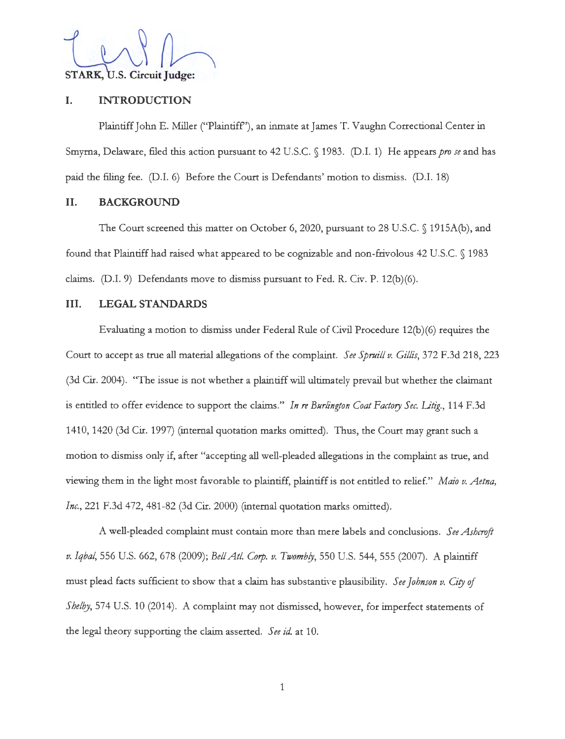STARK, U.S. Circuit Judge:

### **I. INTRODUCTION**

Plaintiff John E. Miller ("Plaintiff"), an inmate at James T. Vaughn Correctional Center in Smyrna, Delaware, filed this action pursuant to 42 U.S.C. § 1983. (D.I. 1) He appears *pro se* and has paid the filing fee. (D.I. 6) Before the Court is Defendants' motion to dismiss. (D.I. 18)

### **11. BACKGROUND**

The Court screened this matter on October 6, 2020, pursuant to 28 U.S.C. § 1915A(b), and found that Plaintiff had raised what appeared to be cognizable and non-frivolous 42 U.S.C. § 1983 claims. (D.I. 9) Defendants move to dismiss pursuant to Fed. R. Civ. P. 12(b)(6).

### III. **LEGAL STANDARDS**

Evaluating a motion to dismiss under Federal Rule of Civil Procedure 12(b)(6) requires the Court to accept as true all material allegations of the complaint. *See Spruill v. Gillis,* 372 F.3d 218, 223 (3d Cir. 2004). "The issue is not whether a plaintiff will ultimately prevail but whether the claimant is entitled to offer evidence to support the claims." *In re Burlington Coat Factory Sec. Litig.,* 114 F.3d 1410, 1420 (3d Cir. 1997) (internal quotation marks omitted). Thus, the Court may grant such a motion to dismiss only if, after "accepting all well-pleaded allegations in the complaint as true, and viewing them in the light most favorable to plaintiff, plaintiff is not entitled to relief." *Maio v. Aetna, Inc.,* 221 F.3d 472, 481-82 (3d Cir. 2000) (internal quotation marks omitted).

A well-pleaded complaint must contain more than mere labels and conclusions. *See A shcroft v. Iqbal,* 556 U.S. 662, 678 (2009); *Bel/At/. Corp. v. Twombjy,* 550 U.S. 544, 555 (2007). A plaintiff must plead facts sufficient to show that a claim has substantive plausibility. *See Johnson v. City of Shelby,* 574 U.S. 10 (2014). A complaint may not dismissed, however, for imperfect statements of the legal theory supporting the claim asserted. *See id.* at 10.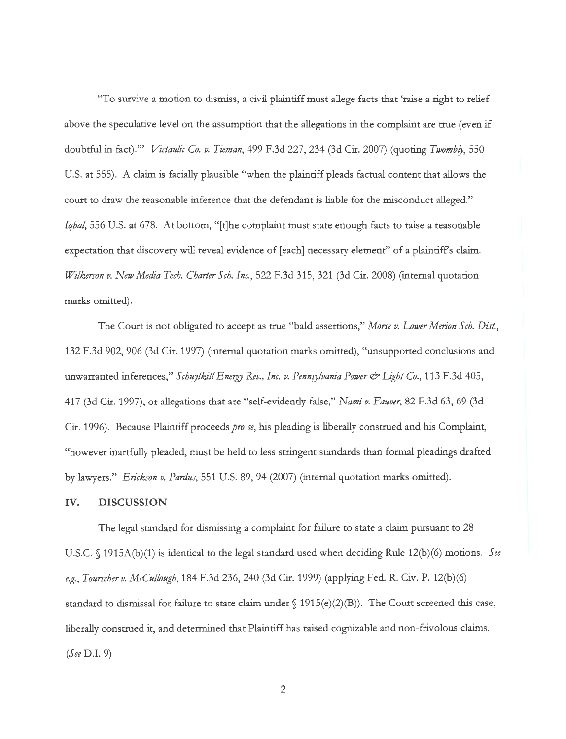"To survive a motion to dismiss, a civil plaintiff must allege facts that 'raise a right to relief above the speculative level on the assumption that the allegations in the complaint are true (even if doubtful in fact)."' *Victaulic Co. v. Tieman,* 499 F.3d 227, 234 (3d Cir. 2007) (quoting *Twombfy,* 550 U.S. at 555). A claim is facially plausible "when the plaintiff pleads factual content that allows the court to draw the reasonable inference that the defendant is liable for the misconduct alleged." *Iqbal,* 556 U.S. at 678. At bottom, "[t]he complaint must state enough facts to raise a reasonable expectation that discovery will reveal evidence of [each] necessary element" of a plaintiff's claim. *Wilkerson v. New Media Tech. Charter Sch. Inc.,* 522 F.3d 315, 321 (3d Cir. 2008) (internal quotation marks omitted).

The Court is not obligated to accept as true "bald assertions," *Morse v. Lower Merion Sch. Dist.,*  132 F.3d 902, 906 (3d Cir. 1997) (internal quotation marks omitted), "unsupported conclusions and unwarranted inferences," *Schuylkill Energy Res., Inc. v. Pennsylvania Power & Light Co.*, 113 F.3d 405, 417 (3d Cir. 1997), or allegations that are "self-evidently false," *Nami v. Fauver,* 82 F.3d 63, 69 (3d Cir. 1996). Because Plaintiff proceeds *pro se,* his pleading is liberally construed and his Complaint, "however inartfully pleaded, must be held to less stringent standards than formal pleadings drafted by lawyers." *Erickson v. Pardus,* 551 U.S. 89, 94 (2007) (internal quotation marks omitted).

### IV. **DISCUSSION**

The legal standard for dismissing a complaint for failure to state a claim pursuant to 28 U.S.C. § 1915A(b)(1) is identical to the legal standard used when deciding Rule 12(b)(6) motions. *See e.g., Tourscherv. McCullough,* 184 F.3d 236,240 (3d Cir. 1999) (applying Fed. R. Civ. P. 12(b)(6) standard to dismissal for failure to state claim under  $\int$  1915(e)(2)(B)). The Court screened this case, liberally construed it, and determined that Plaintiff has raised cognizable and non-frivolous claims. *(See* D.I. 9)

2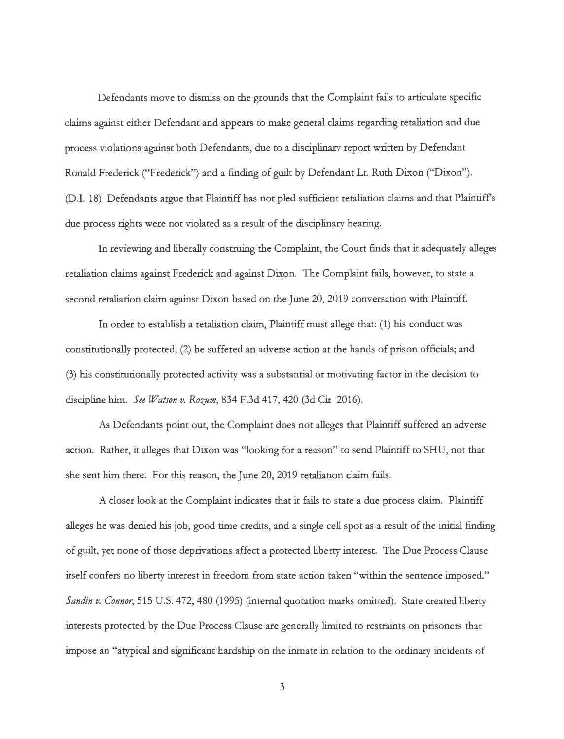Defendants move to dismiss on the grounds that the Complaint fails to articulate specific claims against either Defendant and appears to make general claims regarding retaliation and due process violations against both Defendants, due to a disciplinary report written by Defendant Ronald Frederick ("Frederick") and a finding of guilt by Defendant Lt. Ruth Dixon ("Dixon"). (D.I. 18) Defendants argue that Plaintiff has not pled sufficient retaliation claims and that Plaintiffs due process rights were not violated as a result of the disciplinary hearing.

In reviewing and liberally construing the Complaint, the Court finds that it adequately alleges retaliation claims against Frederick and against Dixon. The Complaint fails, however, to state a second retaliation claim against Dixon based on the June 20, 2019 conversation with Plaintiff.

In order to establish a retaliation claim, Plaintiff must allege that: (1) his conduct was constitutionally protected; (2) he suffered an adverse action at the hands of prison officials; and (3) his constitutionally protected activity was a substantial or motivating factor in the decision to discipline him. *See Watson v. Rozum*, 834 F.3d 417, 420 (3d Cir. 2016).

As Defendants point out, the Complaint does not alleges that Plaintiff suffered an adverse action. Rather, it alleges that Dixon was "looking for a reason" to send Plaintiff to SHU, not that she sent him there. For this reason, the June 20, 2019 retaliation claim fails.

A closer look at the Complaint indicates that it fails to state a due process claim. Plaintiff alleges he was denied his job, good time credits, and a single ell spot as a result of the initial finding of guilt, yet none of those deprivations affect a protected liberty interest. The Due Process Clause itself confers no liberty interest in freedom from state action taken "within the sentence imposed." *Sandin v. Connor,* 515 U.S. 472,480 (1995) (internal quotation marks omitted). State created liberty interests protected by the Due Process Clause are generally limited to restraints on prisoners that impose an "atypical and significant hardship on the inmate in relation to the ordinary incidents of